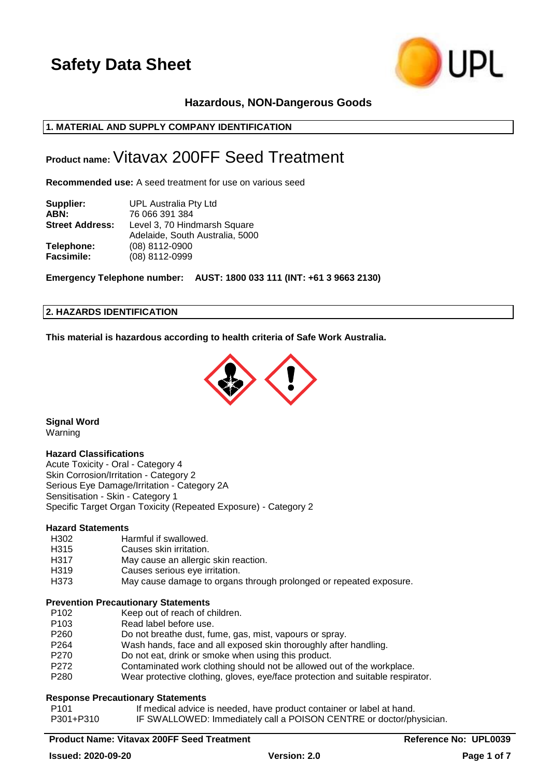

## **Hazardous, NON-Dangerous Goods**

## **1. MATERIAL AND SUPPLY COMPANY IDENTIFICATION**

## **Product name:**Vitavax 200FF Seed Treatment

**Recommended use:** A seed treatment for use on various seed

| Supplier:              | <b>UPL Australia Pty Ltd</b>    |
|------------------------|---------------------------------|
| ABN:                   | 76 066 391 384                  |
| <b>Street Address:</b> | Level 3, 70 Hindmarsh Square    |
|                        | Adelaide, South Australia, 5000 |
| Telephone:             | (08) 8112-0900                  |
| <b>Facsimile:</b>      | (08) 8112-0999                  |

**Emergency Telephone number: AUST: 1800 033 111 (INT: +61 3 9663 2130)**

#### **2. HAZARDS IDENTIFICATION**

**This material is hazardous according to health criteria of Safe Work Australia.**



**Signal Word** Warning

## **Hazard Classifications**

Acute Toxicity - Oral - Category 4 Skin Corrosion/Irritation - Category 2 Serious Eye Damage/Irritation - Category 2A Sensitisation - Skin - Category 1 Specific Target Organ Toxicity (Repeated Exposure) - Category 2

#### **Hazard Statements**

- H302 Harmful if swallowed.
- H315 Causes skin irritation.
- H317 May cause an allergic skin reaction.
- H319 Causes serious eye irritation.
- H373 May cause damage to organs through prolonged or repeated exposure.

#### **Prevention Precautionary Statements**

- P102 Keep out of reach of children.
- P103 Read label before use.
- P260 Do not breathe dust, fume, gas, mist, vapours or spray.
- P264 Wash hands, face and all exposed skin thoroughly after handling.
- P270 Do not eat, drink or smoke when using this product.
- P272 Contaminated work clothing should not be allowed out of the workplace.
- P280 Wear protective clothing, gloves, eye/face protection and suitable respirator.

#### **Response Precautionary Statements**

P101 If medical advice is needed, have product container or label at hand.

P301+P310 IF SWALLOWED: Immediately call a POISON CENTRE or doctor/physician.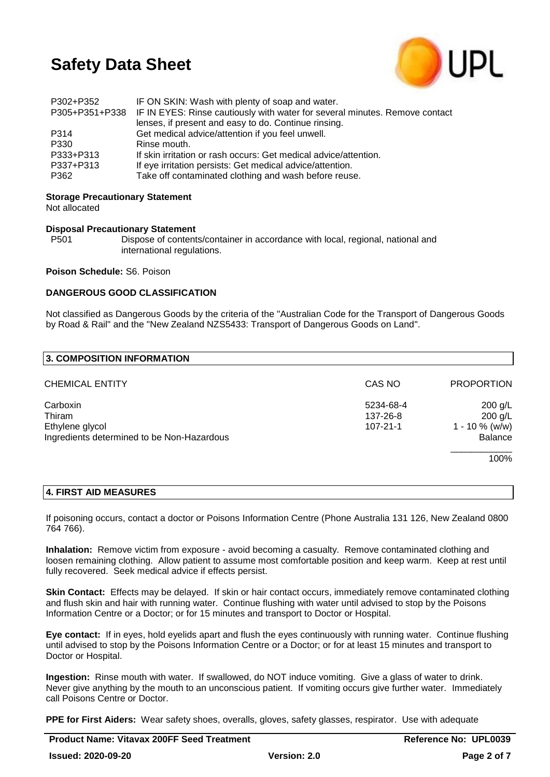

| P302+P352 | IF ON SKIN: Wash with plenty of soap and water.                                            |
|-----------|--------------------------------------------------------------------------------------------|
|           | P305+P351+P338 IF IN EYES: Rinse cautiously with water for several minutes. Remove contact |
|           | lenses, if present and easy to do. Continue rinsing.                                       |
| P314      | Get medical advice/attention if you feel unwell.                                           |
| P330      | Rinse mouth.                                                                               |
| P333+P313 | If skin irritation or rash occurs: Get medical advice/attention.                           |
| P337+P313 | If eye irritation persists: Get medical advice/attention.                                  |
| P362      | Take off contaminated clothing and wash before reuse.                                      |
|           |                                                                                            |

**Storage Precautionary Statement**

Not allocated

#### **Disposal Precautionary Statement**

P501 Dispose of contents/container in accordance with local, regional, national and international regulations.

**Poison Schedule:** S6. Poison

#### **DANGEROUS GOOD CLASSIFICATION**

Not classified as Dangerous Goods by the criteria of the "Australian Code for the Transport of Dangerous Goods by Road & Rail" and the "New Zealand NZS5433: Transport of Dangerous Goods on Land".

| 3. COMPOSITION INFORMATION                 |                |                   |
|--------------------------------------------|----------------|-------------------|
| <b>CHEMICAL ENTITY</b>                     | CAS NO         | <b>PROPORTION</b> |
| Carboxin                                   | 5234-68-4      | $200$ g/L         |
| Thiram                                     | 137-26-8       | $200$ g/L         |
| Ethylene glycol                            | $107 - 21 - 1$ | $1 - 10 \%$ (w/w) |
| Ingredients determined to be Non-Hazardous |                | Balance           |
|                                            |                | 100%              |

#### **4. FIRST AID MEASURES**

If poisoning occurs, contact a doctor or Poisons Information Centre (Phone Australia 131 126, New Zealand 0800 764 766).

**Inhalation:** Remove victim from exposure - avoid becoming a casualty. Remove contaminated clothing and loosen remaining clothing. Allow patient to assume most comfortable position and keep warm. Keep at rest until fully recovered. Seek medical advice if effects persist.

**Skin Contact:** Effects may be delayed. If skin or hair contact occurs, immediately remove contaminated clothing and flush skin and hair with running water. Continue flushing with water until advised to stop by the Poisons Information Centre or a Doctor; or for 15 minutes and transport to Doctor or Hospital.

**Eye contact:** If in eyes, hold eyelids apart and flush the eyes continuously with running water. Continue flushing until advised to stop by the Poisons Information Centre or a Doctor; or for at least 15 minutes and transport to Doctor or Hospital.

**Ingestion:** Rinse mouth with water. If swallowed, do NOT induce vomiting. Give a glass of water to drink. Never give anything by the mouth to an unconscious patient. If vomiting occurs give further water. Immediately call Poisons Centre or Doctor.

**PPE for First Aiders:** Wear safety shoes, overalls, gloves, safety glasses, respirator. Use with adequate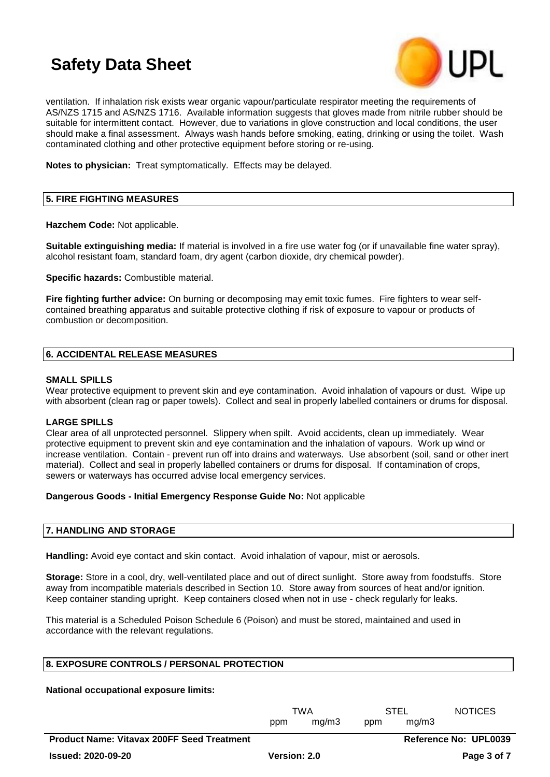

ventilation. If inhalation risk exists wear organic vapour/particulate respirator meeting the requirements of AS/NZS 1715 and AS/NZS 1716. Available information suggests that gloves made from nitrile rubber should be suitable for intermittent contact. However, due to variations in glove construction and local conditions, the user should make a final assessment. Always wash hands before smoking, eating, drinking or using the toilet. Wash contaminated clothing and other protective equipment before storing or re-using.

**Notes to physician:** Treat symptomatically. Effects may be delayed.

## **5. FIRE FIGHTING MEASURES**

**Hazchem Code:** Not applicable.

**Suitable extinguishing media:** If material is involved in a fire use water fog (or if unavailable fine water spray), alcohol resistant foam, standard foam, dry agent (carbon dioxide, dry chemical powder).

**Specific hazards:** Combustible material.

**Fire fighting further advice:** On burning or decomposing may emit toxic fumes. Fire fighters to wear selfcontained breathing apparatus and suitable protective clothing if risk of exposure to vapour or products of combustion or decomposition.

## **6. ACCIDENTAL RELEASE MEASURES**

#### **SMALL SPILLS**

Wear protective equipment to prevent skin and eye contamination. Avoid inhalation of vapours or dust. Wipe up with absorbent (clean rag or paper towels). Collect and seal in properly labelled containers or drums for disposal.

## **LARGE SPILLS**

Clear area of all unprotected personnel. Slippery when spilt. Avoid accidents, clean up immediately. Wear protective equipment to prevent skin and eye contamination and the inhalation of vapours. Work up wind or increase ventilation. Contain - prevent run off into drains and waterways. Use absorbent (soil, sand or other inert material). Collect and seal in properly labelled containers or drums for disposal. If contamination of crops, sewers or waterways has occurred advise local emergency services.

#### **Dangerous Goods - Initial Emergency Response Guide No:** Not applicable

## **7. HANDLING AND STORAGE**

**Handling:** Avoid eye contact and skin contact. Avoid inhalation of vapour, mist or aerosols.

**Storage:** Store in a cool, dry, well-ventilated place and out of direct sunlight. Store away from foodstuffs. Store away from incompatible materials described in Section 10. Store away from sources of heat and/or ignition. Keep container standing upright. Keep containers closed when not in use - check regularly for leaks.

This material is a Scheduled Poison Schedule 6 (Poison) and must be stored, maintained and used in accordance with the relevant regulations.

## **8. EXPOSURE CONTROLS / PERSONAL PROTECTION**

**National occupational exposure limits:**

|                                                   | TWA          |       | STEL |                              | <b>NOTICES</b> |
|---------------------------------------------------|--------------|-------|------|------------------------------|----------------|
|                                                   | ppm          | ma/m3 | ppm  | ma/m3                        |                |
| <b>Product Name: Vitavax 200FF Seed Treatment</b> |              |       |      | <b>Reference No: UPL0039</b> |                |
| <b>Issued: 2020-09-20</b>                         | Version: 2.0 |       |      |                              | Page 3 of 7    |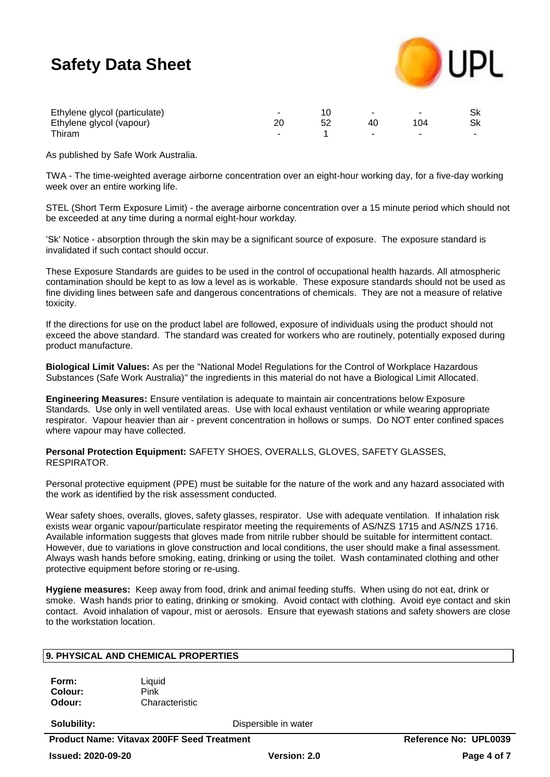

| Ethylene glycol (particulate) |  |      |  |
|-------------------------------|--|------|--|
| Ethylene glycol (vapour)      |  | ' 04 |  |
| Thiram.                       |  |      |  |

As published by Safe Work Australia.

TWA - The time-weighted average airborne concentration over an eight-hour working day, for a five-day working week over an entire working life.

STEL (Short Term Exposure Limit) - the average airborne concentration over a 15 minute period which should not be exceeded at any time during a normal eight-hour workday.

'Sk' Notice - absorption through the skin may be a significant source of exposure. The exposure standard is invalidated if such contact should occur.

These Exposure Standards are guides to be used in the control of occupational health hazards. All atmospheric contamination should be kept to as low a level as is workable. These exposure standards should not be used as fine dividing lines between safe and dangerous concentrations of chemicals. They are not a measure of relative toxicity.

If the directions for use on the product label are followed, exposure of individuals using the product should not exceed the above standard. The standard was created for workers who are routinely, potentially exposed during product manufacture.

**Biological Limit Values:** As per the "National Model Regulations for the Control of Workplace Hazardous Substances (Safe Work Australia)" the ingredients in this material do not have a Biological Limit Allocated.

**Engineering Measures:** Ensure ventilation is adequate to maintain air concentrations below Exposure Standards. Use only in well ventilated areas. Use with local exhaust ventilation or while wearing appropriate respirator. Vapour heavier than air - prevent concentration in hollows or sumps. Do NOT enter confined spaces where vapour may have collected.

**Personal Protection Equipment:** SAFETY SHOES, OVERALLS, GLOVES, SAFETY GLASSES, RESPIRATOR.

Personal protective equipment (PPE) must be suitable for the nature of the work and any hazard associated with the work as identified by the risk assessment conducted.

Wear safety shoes, overalls, gloves, safety glasses, respirator. Use with adequate ventilation. If inhalation risk exists wear organic vapour/particulate respirator meeting the requirements of AS/NZS 1715 and AS/NZS 1716. Available information suggests that gloves made from nitrile rubber should be suitable for intermittent contact. However, due to variations in glove construction and local conditions, the user should make a final assessment. Always wash hands before smoking, eating, drinking or using the toilet. Wash contaminated clothing and other protective equipment before storing or re-using.

**Hygiene measures:** Keep away from food, drink and animal feeding stuffs. When using do not eat, drink or smoke. Wash hands prior to eating, drinking or smoking. Avoid contact with clothing. Avoid eye contact and skin contact. Avoid inhalation of vapour, mist or aerosols. Ensure that eyewash stations and safety showers are close to the workstation location.

## **9. PHYSICAL AND CHEMICAL PROPERTIES**

| Form:   | Liquid         |
|---------|----------------|
| Colour: | Pink           |
| Odour:  | Characteristic |

**Solubility:** Dispersible in water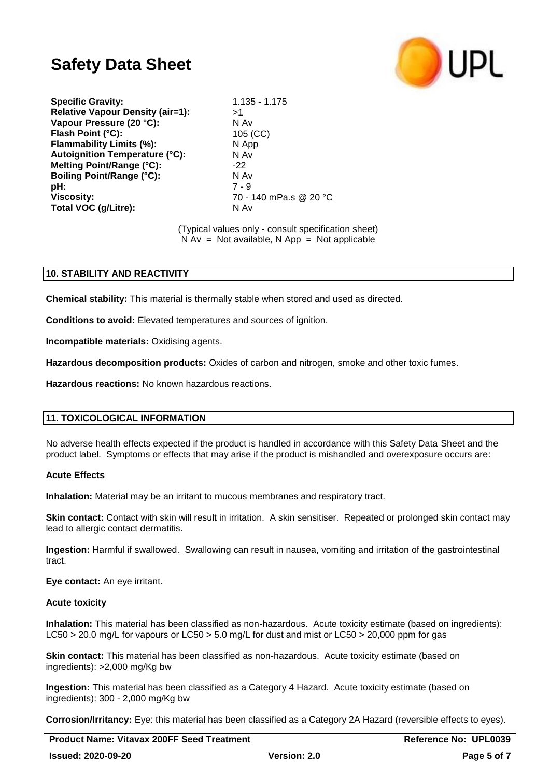

**Specific Gravity:** 1.135 - 1.175 **Relative Vapour Density (air=1):** >1 **Vapour Pressure (20 °C):** N Av **Flash Point (°C):** 105 (CC) **Flammability Limits (%):** N App **Autoignition Temperature (°C):** N Av **Melting Point/Range (°C):** -22 **Boiling Point/Range (°C):** N Av **pH:** 7 - 9 **Viscosity:** 70 - 140 mPa.s @ 20 °C **Total VOC (g/Litre):** N Av

(Typical values only - consult specification sheet)  $N Av = Not available$ ,  $N App = Not applicable$ 

## **10. STABILITY AND REACTIVITY**

**Chemical stability:** This material is thermally stable when stored and used as directed.

**Conditions to avoid:** Elevated temperatures and sources of ignition.

**Incompatible materials:** Oxidising agents.

**Hazardous decomposition products:** Oxides of carbon and nitrogen, smoke and other toxic fumes.

**Hazardous reactions:** No known hazardous reactions.

## **11. TOXICOLOGICAL INFORMATION**

No adverse health effects expected if the product is handled in accordance with this Safety Data Sheet and the product label. Symptoms or effects that may arise if the product is mishandled and overexposure occurs are:

#### **Acute Effects**

**Inhalation:** Material may be an irritant to mucous membranes and respiratory tract.

**Skin contact:** Contact with skin will result in irritation. A skin sensitiser. Repeated or prolonged skin contact may lead to allergic contact dermatitis.

**Ingestion:** Harmful if swallowed. Swallowing can result in nausea, vomiting and irritation of the gastrointestinal tract.

**Eye contact:** An eye irritant.

#### **Acute toxicity**

**Inhalation:** This material has been classified as non-hazardous. Acute toxicity estimate (based on ingredients): LC50 > 20.0 mg/L for vapours or LC50 > 5.0 mg/L for dust and mist or LC50 > 20,000 ppm for gas

**Skin contact:** This material has been classified as non-hazardous. Acute toxicity estimate (based on ingredients): >2,000 mg/Kg bw

**Ingestion:** This material has been classified as a Category 4 Hazard. Acute toxicity estimate (based on ingredients): 300 - 2,000 mg/Kg bw

**Corrosion/Irritancy:** Eye: this material has been classified as a Category 2A Hazard (reversible effects to eyes).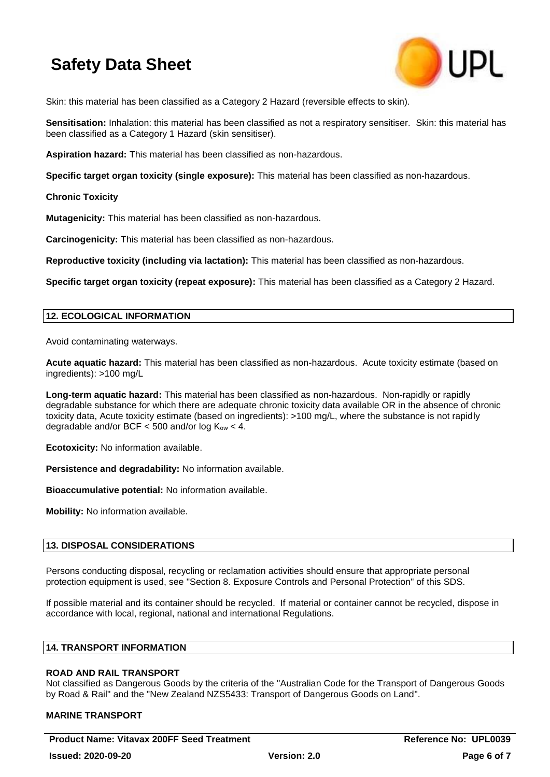

Skin: this material has been classified as a Category 2 Hazard (reversible effects to skin).

**Sensitisation:** Inhalation: this material has been classified as not a respiratory sensitiser. Skin: this material has been classified as a Category 1 Hazard (skin sensitiser).

**Aspiration hazard:** This material has been classified as non-hazardous.

**Specific target organ toxicity (single exposure):** This material has been classified as non-hazardous.

**Chronic Toxicity**

**Mutagenicity:** This material has been classified as non-hazardous.

**Carcinogenicity:** This material has been classified as non-hazardous.

**Reproductive toxicity (including via lactation):** This material has been classified as non-hazardous.

**Specific target organ toxicity (repeat exposure):** This material has been classified as a Category 2 Hazard.

#### **12. ECOLOGICAL INFORMATION**

Avoid contaminating waterways.

**Acute aquatic hazard:** This material has been classified as non-hazardous. Acute toxicity estimate (based on ingredients): >100 mg/L

**Long-term aquatic hazard:** This material has been classified as non-hazardous. Non-rapidly or rapidly degradable substance for which there are adequate chronic toxicity data available OR in the absence of chronic toxicity data, Acute toxicity estimate (based on ingredients): >100 mg/L, where the substance is not rapidly degradable and/or BCF  $<$  500 and/or log K<sub>ow</sub>  $<$  4.

**Ecotoxicity:** No information available.

**Persistence and degradability:** No information available.

**Bioaccumulative potential:** No information available.

**Mobility:** No information available.

## **13. DISPOSAL CONSIDERATIONS**

Persons conducting disposal, recycling or reclamation activities should ensure that appropriate personal protection equipment is used, see "Section 8. Exposure Controls and Personal Protection" of this SDS.

If possible material and its container should be recycled. If material or container cannot be recycled, dispose in accordance with local, regional, national and international Regulations.

#### **14. TRANSPORT INFORMATION**

## **ROAD AND RAIL TRANSPORT**

Not classified as Dangerous Goods by the criteria of the "Australian Code for the Transport of Dangerous Goods by Road & Rail" and the "New Zealand NZS5433: Transport of Dangerous Goods on Land".

## **MARINE TRANSPORT**